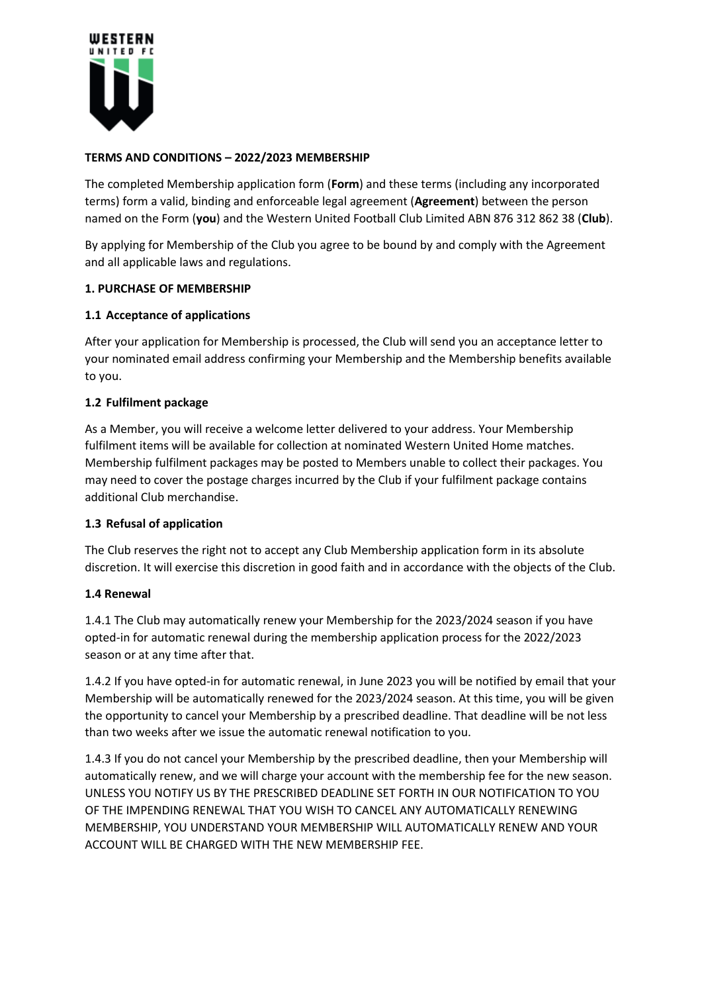

# **TERMS AND CONDITIONS – 2022/2023 MEMBERSHIP**

The completed Membership application form (**Form**) and these terms (including any incorporated terms) form a valid, binding and enforceable legal agreement (**Agreement**) between the person named on the Form (**you**) and the Western United Football Club Limited ABN 876 312 862 38 (**Club**).

By applying for Membership of the Club you agree to be bound by and comply with the Agreement and all applicable laws and regulations.

### **1. PURCHASE OF MEMBERSHIP**

# **1.1 Acceptance of applications**

After your application for Membership is processed, the Club will send you an acceptance letter to your nominated email address confirming your Membership and the Membership benefits available to you.

### **1.2 Fulfilment package**

As a Member, you will receive a welcome letter delivered to your address. Your Membership fulfilment items will be available for collection at nominated Western United Home matches. Membership fulfilment packages may be posted to Members unable to collect their packages. You may need to cover the postage charges incurred by the Club if your fulfilment package contains additional Club merchandise.

### **1.3 Refusal of application**

The Club reserves the right not to accept any Club Membership application form in its absolute discretion. It will exercise this discretion in good faith and in accordance with the objects of the Club.

### **1.4 Renewal**

1.4.1 The Club may automatically renew your Membership for the 2023/2024 season if you have opted-in for automatic renewal during the membership application process for the 2022/2023 season or at any time after that.

1.4.2 If you have opted-in for automatic renewal, in June 2023 you will be notified by email that your Membership will be automatically renewed for the 2023/2024 season. At this time, you will be given the opportunity to cancel your Membership by a prescribed deadline. That deadline will be not less than two weeks after we issue the automatic renewal notification to you.

1.4.3 If you do not cancel your Membership by the prescribed deadline, then your Membership will automatically renew, and we will charge your account with the membership fee for the new season. UNLESS YOU NOTIFY US BY THE PRESCRIBED DEADLINE SET FORTH IN OUR NOTIFICATION TO YOU OF THE IMPENDING RENEWAL THAT YOU WISH TO CANCEL ANY AUTOMATICALLY RENEWING MEMBERSHIP, YOU UNDERSTAND YOUR MEMBERSHIP WILL AUTOMATICALLY RENEW AND YOUR ACCOUNT WILL BE CHARGED WITH THE NEW MEMBERSHIP FEE.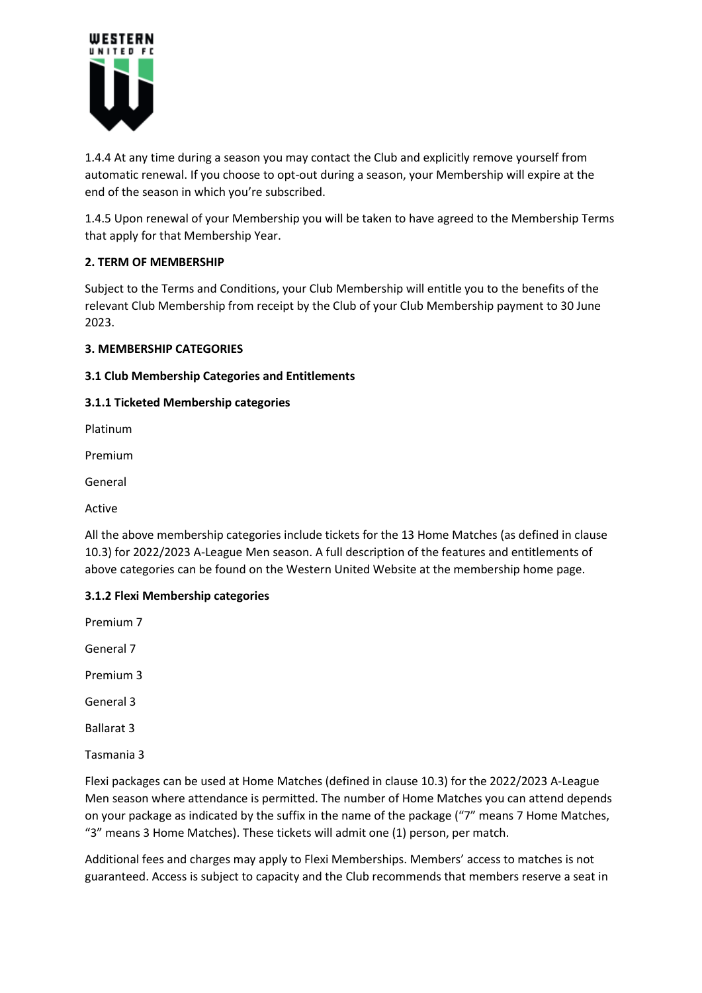

1.4.4 At any time during a season you may contact the Club and explicitly remove yourself from automatic renewal. If you choose to opt-out during a season, your Membership will expire at the end of the season in which you're subscribed.

1.4.5 Upon renewal of your Membership you will be taken to have agreed to the Membership Terms that apply for that Membership Year.

# **2. TERM OF MEMBERSHIP**

Subject to the Terms and Conditions, your Club Membership will entitle you to the benefits of the relevant Club Membership from receipt by the Club of your Club Membership payment to 30 June 2023.

# **3. MEMBERSHIP CATEGORIES**

# **3.1 Club Membership Categories and Entitlements**

# **3.1.1 Ticketed Membership categories**

Platinum

Premium

General

Active

All the above membership categories include tickets for the 13 Home Matches (as defined in clause 10.3) for 2022/2023 A-League Men season. A full description of the features and entitlements of above categories can be found on the Western United Website at the membership home page.

# **3.1.2 Flexi Membership categories**

Premium 7

General 7

Premium 3

General 3

Ballarat 3

Tasmania 3

Flexi packages can be used at Home Matches (defined in clause 10.3) for the 2022/2023 A-League Men season where attendance is permitted. The number of Home Matches you can attend depends on your package as indicated by the suffix in the name of the package ("7" means 7 Home Matches, "3" means 3 Home Matches). These tickets will admit one (1) person, per match.

Additional fees and charges may apply to Flexi Memberships. Members' access to matches is not guaranteed. Access is subject to capacity and the Club recommends that members reserve a seat in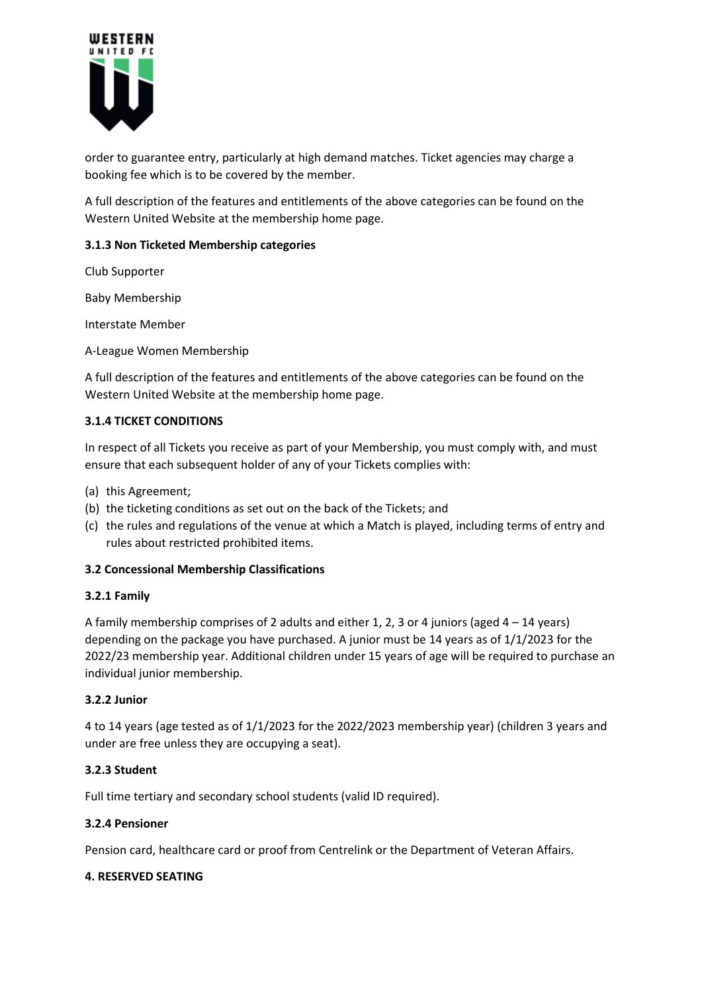

order to guarantee entry, particularly at high demand matches. Ticket agencies may charge a booking fee which is to be covered by the member.

A full description of the features and entitlements of the above categories can be found on the Western United Website at the membership home page.

# **3.1.3 Non Ticketed Membership categories**

Club Supporter

Baby Membership

Interstate Member

A-League Women Membership

A full description of the features and entitlements of the above categories can be found on the Western United Website at the membership home page.

### **3.1.4 TICKET CONDITIONS**

In respect of all Tickets you receive as part of your Membership, you must comply with, and must ensure that each subsequent holder of any of your Tickets complies with:

- (a) this Agreement;
- (b) the ticketing conditions as set out on the back of the Tickets; and
- (c) the rules and regulations of the venue at which a Match is played, including terms of entry and rules about restricted prohibited items.

### **3.2 Concessional Membership Classifications**

### **3.2.1 Family**

A family membership comprises of 2 adults and either 1, 2, 3 or 4 juniors (aged  $4 - 14$  years) depending on the package you have purchased. A junior must be 14 years as of 1/1/2023 for the 2022/23 membership year. Additional children under 15 years of age will be required to purchase an individual junior membership.

### **3.2.2 Junior**

4 to 14 years (age tested as of 1/1/2023 for the 2022/2023 membership year) (children 3 years and under are free unless they are occupying a seat).

### **3.2.3 Student**

Full time tertiary and secondary school students (valid ID required).

### **3.2.4 Pensioner**

Pension card, healthcare card or proof from Centrelink or the Department of Veteran Affairs.

#### **4. RESERVED SEATING**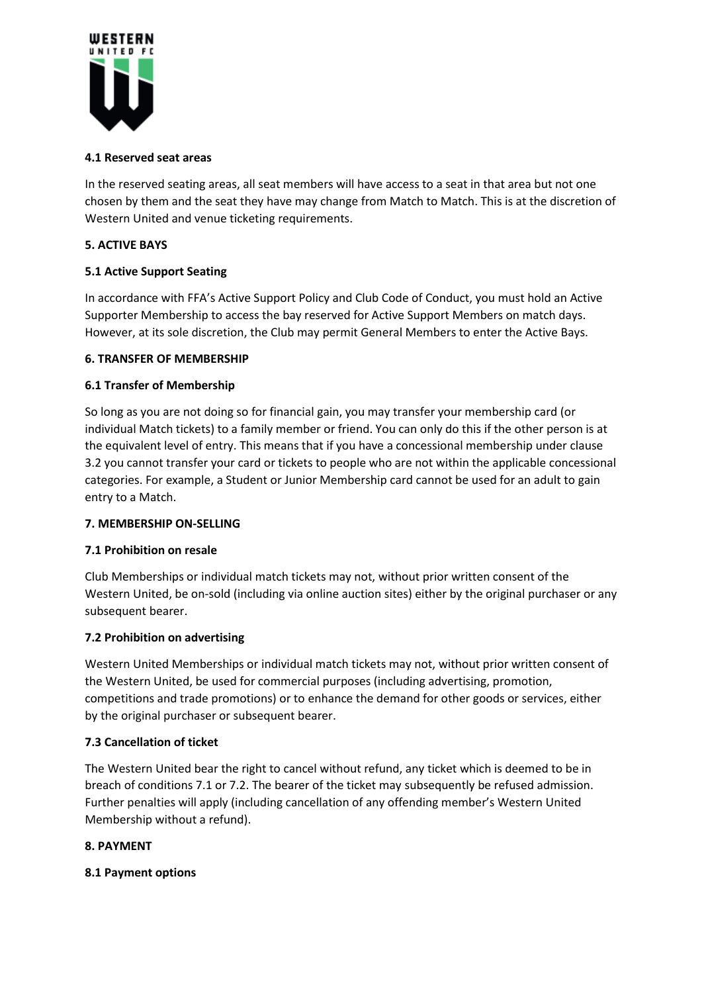

# **4.1 Reserved seat areas**

In the reserved seating areas, all seat members will have access to a seat in that area but not one chosen by them and the seat they have may change from Match to Match. This is at the discretion of Western United and venue ticketing requirements.

# **5. ACTIVE BAYS**

# **5.1 Active Support Seating**

In accordance with FFA's Active Support Policy and Club Code of Conduct, you must hold an Active Supporter Membership to access the bay reserved for Active Support Members on match days. However, at its sole discretion, the Club may permit General Members to enter the Active Bays.

### **6. TRANSFER OF MEMBERSHIP**

### **6.1 Transfer of Membership**

So long as you are not doing so for financial gain, you may transfer your membership card (or individual Match tickets) to a family member or friend. You can only do this if the other person is at the equivalent level of entry. This means that if you have a concessional membership under clause 3.2 you cannot transfer your card or tickets to people who are not within the applicable concessional categories. For example, a Student or Junior Membership card cannot be used for an adult to gain entry to a Match.

### **7. MEMBERSHIP ON-SELLING**

### **7.1 Prohibition on resale**

Club Memberships or individual match tickets may not, without prior written consent of the Western United, be on-sold (including via online auction sites) either by the original purchaser or any subsequent bearer.

### **7.2 Prohibition on advertising**

Western United Memberships or individual match tickets may not, without prior written consent of the Western United, be used for commercial purposes (including advertising, promotion, competitions and trade promotions) or to enhance the demand for other goods or services, either by the original purchaser or subsequent bearer.

### **7.3 Cancellation of ticket**

The Western United bear the right to cancel without refund, any ticket which is deemed to be in breach of conditions 7.1 or 7.2. The bearer of the ticket may subsequently be refused admission. Further penalties will apply (including cancellation of any offending member's Western United Membership without a refund).

### **8. PAYMENT**

### **8.1 Payment options**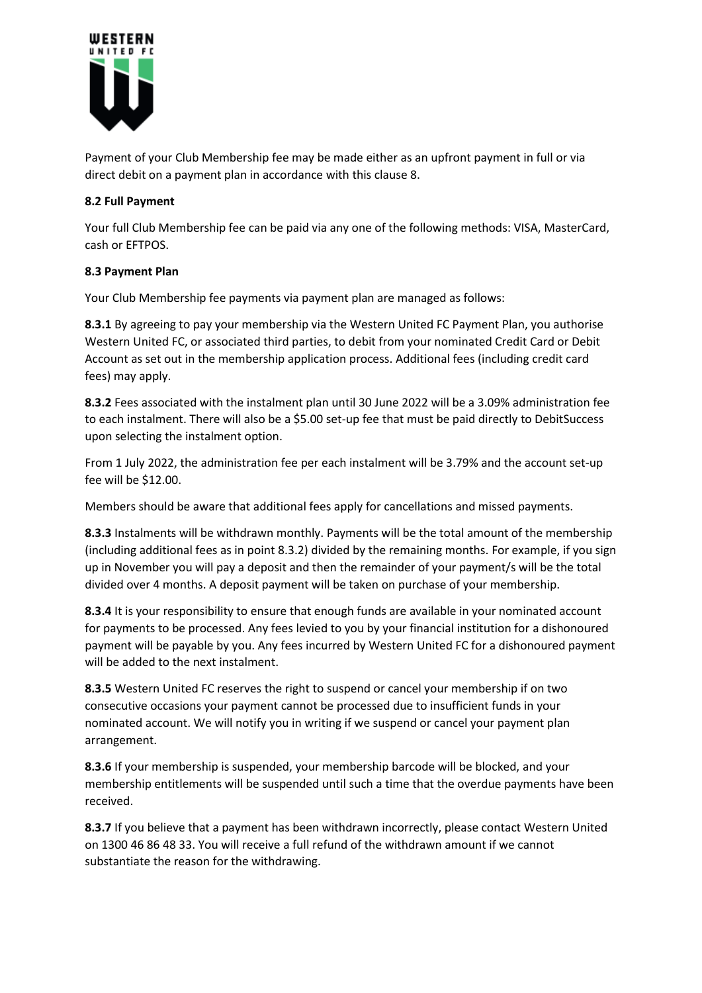

Payment of your Club Membership fee may be made either as an upfront payment in full or via direct debit on a payment plan in accordance with this clause 8.

# **8.2 Full Payment**

Your full Club Membership fee can be paid via any one of the following methods: VISA, MasterCard, cash or EFTPOS.

# **8.3 Payment Plan**

Your Club Membership fee payments via payment plan are managed as follows:

**8.3.1** By agreeing to pay your membership via the Western United FC Payment Plan, you authorise Western United FC, or associated third parties, to debit from your nominated Credit Card or Debit Account as set out in the membership application process. Additional fees (including credit card fees) may apply.

**8.3.2** Fees associated with the instalment plan until 30 June 2022 will be a 3.09% administration fee to each instalment. There will also be a \$5.00 set-up fee that must be paid directly to DebitSuccess upon selecting the instalment option.

From 1 July 2022, the administration fee per each instalment will be 3.79% and the account set-up fee will be \$12.00.

Members should be aware that additional fees apply for cancellations and missed payments.

**8.3.3** Instalments will be withdrawn monthly. Payments will be the total amount of the membership (including additional fees as in point 8.3.2) divided by the remaining months. For example, if you sign up in November you will pay a deposit and then the remainder of your payment/s will be the total divided over 4 months. A deposit payment will be taken on purchase of your membership.

**8.3.4** It is your responsibility to ensure that enough funds are available in your nominated account for payments to be processed. Any fees levied to you by your financial institution for a dishonoured payment will be payable by you. Any fees incurred by Western United FC for a dishonoured payment will be added to the next instalment.

**8.3.5** Western United FC reserves the right to suspend or cancel your membership if on two consecutive occasions your payment cannot be processed due to insufficient funds in your nominated account. We will notify you in writing if we suspend or cancel your payment plan arrangement.

**8.3.6** If your membership is suspended, your membership barcode will be blocked, and your membership entitlements will be suspended until such a time that the overdue payments have been received.

**8.3.7** If you believe that a payment has been withdrawn incorrectly, please contact Western United on 1300 46 86 48 33. You will receive a full refund of the withdrawn amount if we cannot substantiate the reason for the withdrawing.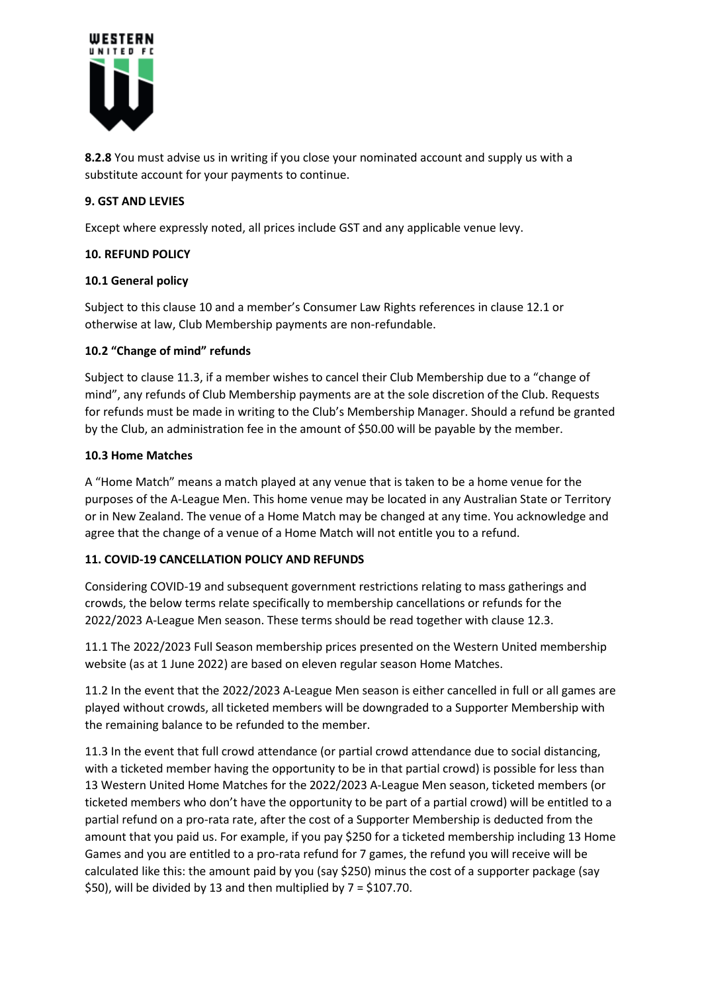

**8.2.8** You must advise us in writing if you close your nominated account and supply us with a substitute account for your payments to continue.

### **9. GST AND LEVIES**

Except where expressly noted, all prices include GST and any applicable venue levy.

### **10. REFUND POLICY**

### **10.1 General policy**

Subject to this clause 10 and a member's Consumer Law Rights references in clause 12.1 or otherwise at law, Club Membership payments are non-refundable.

### **10.2 "Change of mind" refunds**

Subject to clause 11.3, if a member wishes to cancel their Club Membership due to a "change of mind", any refunds of Club Membership payments are at the sole discretion of the Club. Requests for refunds must be made in writing to the Club's Membership Manager. Should a refund be granted by the Club, an administration fee in the amount of \$50.00 will be payable by the member.

### **10.3 Home Matches**

A "Home Match" means a match played at any venue that is taken to be a home venue for the purposes of the A-League Men. This home venue may be located in any Australian State or Territory or in New Zealand. The venue of a Home Match may be changed at any time. You acknowledge and agree that the change of a venue of a Home Match will not entitle you to a refund.

# **11. COVID-19 CANCELLATION POLICY AND REFUNDS**

Considering COVID-19 and subsequent government restrictions relating to mass gatherings and crowds, the below terms relate specifically to membership cancellations or refunds for the 2022/2023 A-League Men season. These terms should be read together with clause 12.3.

11.1 The 2022/2023 Full Season membership prices presented on the Western United membership website (as at 1 June 2022) are based on eleven regular season Home Matches.

11.2 In the event that the 2022/2023 A-League Men season is either cancelled in full or all games are played without crowds, all ticketed members will be downgraded to a Supporter Membership with the remaining balance to be refunded to the member.

11.3 In the event that full crowd attendance (or partial crowd attendance due to social distancing, with a ticketed member having the opportunity to be in that partial crowd) is possible for less than 13 Western United Home Matches for the 2022/2023 A-League Men season, ticketed members (or ticketed members who don't have the opportunity to be part of a partial crowd) will be entitled to a partial refund on a pro-rata rate, after the cost of a Supporter Membership is deducted from the amount that you paid us. For example, if you pay \$250 for a ticketed membership including 13 Home Games and you are entitled to a pro-rata refund for 7 games, the refund you will receive will be calculated like this: the amount paid by you (say \$250) minus the cost of a supporter package (say  $$50$ ), will be divided by 13 and then multiplied by 7 =  $$107.70$ .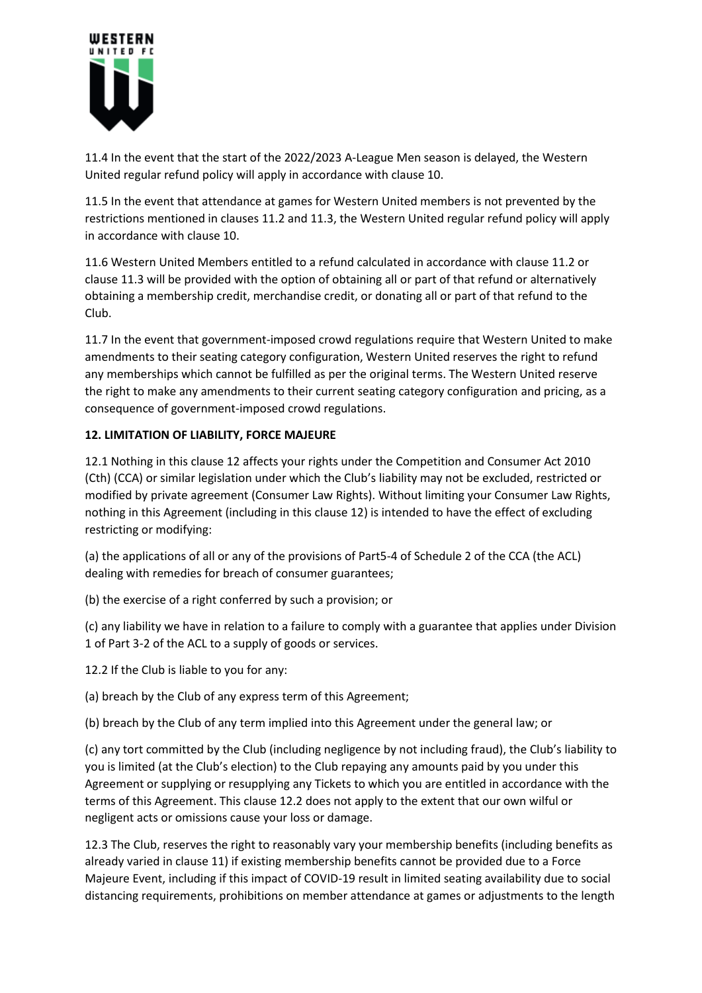

11.4 In the event that the start of the 2022/2023 A-League Men season is delayed, the Western United regular refund policy will apply in accordance with clause 10.

11.5 In the event that attendance at games for Western United members is not prevented by the restrictions mentioned in clauses 11.2 and 11.3, the Western United regular refund policy will apply in accordance with clause 10.

11.6 Western United Members entitled to a refund calculated in accordance with clause 11.2 or clause 11.3 will be provided with the option of obtaining all or part of that refund or alternatively obtaining a membership credit, merchandise credit, or donating all or part of that refund to the Club.

11.7 In the event that government-imposed crowd regulations require that Western United to make amendments to their seating category configuration, Western United reserves the right to refund any memberships which cannot be fulfilled as per the original terms. The Western United reserve the right to make any amendments to their current seating category configuration and pricing, as a consequence of government-imposed crowd regulations.

# **12. LIMITATION OF LIABILITY, FORCE MAJEURE**

12.1 Nothing in this clause 12 affects your rights under the Competition and Consumer Act 2010 (Cth) (CCA) or similar legislation under which the Club's liability may not be excluded, restricted or modified by private agreement (Consumer Law Rights). Without limiting your Consumer Law Rights, nothing in this Agreement (including in this clause 12) is intended to have the effect of excluding restricting or modifying:

(a) the applications of all or any of the provisions of Part5-4 of Schedule 2 of the CCA (the ACL) dealing with remedies for breach of consumer guarantees;

(b) the exercise of a right conferred by such a provision; or

(c) any liability we have in relation to a failure to comply with a guarantee that applies under Division 1 of Part 3-2 of the ACL to a supply of goods or services.

12.2 If the Club is liable to you for any:

(a) breach by the Club of any express term of this Agreement;

(b) breach by the Club of any term implied into this Agreement under the general law; or

(c) any tort committed by the Club (including negligence by not including fraud), the Club's liability to you is limited (at the Club's election) to the Club repaying any amounts paid by you under this Agreement or supplying or resupplying any Tickets to which you are entitled in accordance with the terms of this Agreement. This clause 12.2 does not apply to the extent that our own wilful or negligent acts or omissions cause your loss or damage.

12.3 The Club, reserves the right to reasonably vary your membership benefits (including benefits as already varied in clause 11) if existing membership benefits cannot be provided due to a Force Majeure Event, including if this impact of COVID-19 result in limited seating availability due to social distancing requirements, prohibitions on member attendance at games or adjustments to the length